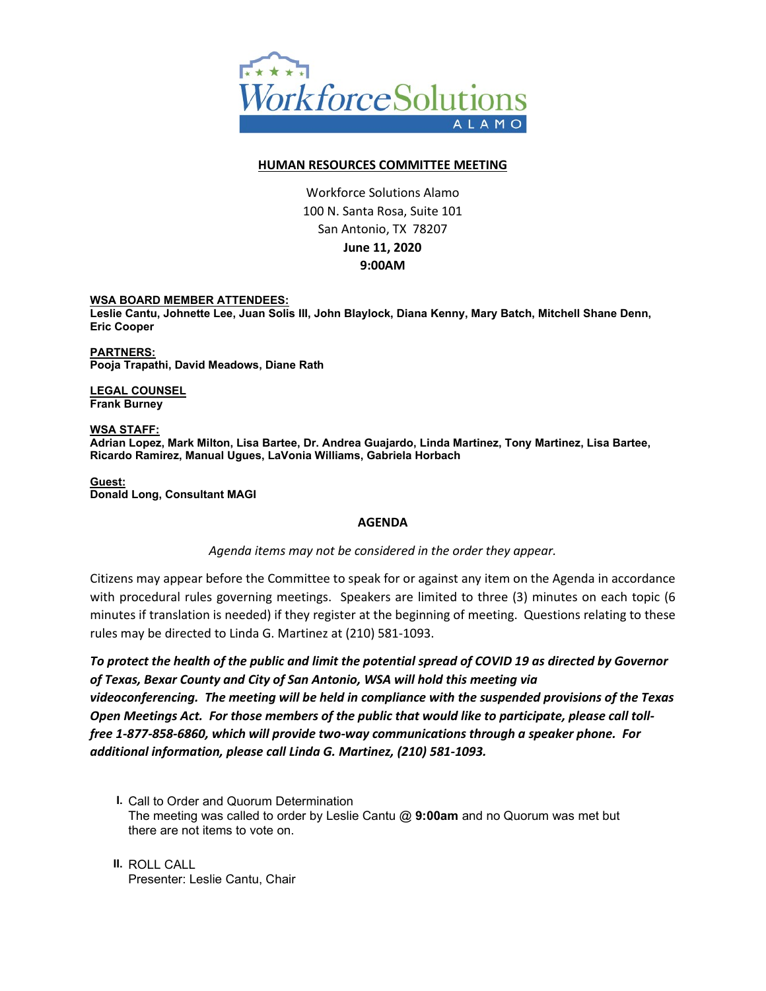

## **HUMAN RESOURCES COMMITTEE MEETING**

Workforce Solutions Alamo 100 N. Santa Rosa, Suite 101 San Antonio, TX 78207 **June 11, 2020 9:00AM**

## **WSA BOARD MEMBER ATTENDEES:**

**Leslie Cantu, Johnette Lee, Juan Solis III, John Blaylock, Diana Kenny, Mary Batch, Mitchell Shane Denn, Eric Cooper**

**PARTNERS: Pooja Trapathi, David Meadows, Diane Rath**

**LEGAL COUNSEL Frank Burney**

**WSA STAFF: Adrian Lopez, Mark Milton, Lisa Bartee, Dr. Andrea Guajardo, Linda Martinez, Tony Martinez, Lisa Bartee, Ricardo Ramirez, Manual Ugues, LaVonia Williams, Gabriela Horbach**

**Guest: Donald Long, Consultant MAGI**

## **AGENDA**

## *Agenda items may not be considered in the order they appear.*

Citizens may appear before the Committee to speak for or against any item on the Agenda in accordance with procedural rules governing meetings. Speakers are limited to three (3) minutes on each topic (6 minutes if translation is needed) if they register at the beginning of meeting. Questions relating to these rules may be directed to Linda G. Martinez at (210) 581-1093.

*To protect the health of the public and limit the potential spread of COVID 19 as directed by Governor of Texas, Bexar County and City of San Antonio, WSA will hold this meeting via videoconferencing. The meeting will be held in compliance with the suspended provisions of the Texas Open Meetings Act. For those members of the public that would like to participate, please call tollfree 1-877-858-6860, which will provide two-way communications through a speaker phone. For additional information, please call Linda G. Martinez, (210) 581-1093.* 

**I.** Call to Order and Quorum Determination The meeting was called to order by Leslie Cantu @ **9:00am** and no Quorum was met but there are not items to vote on.

**II.** ROLL CALL Presenter: Leslie Cantu, Chair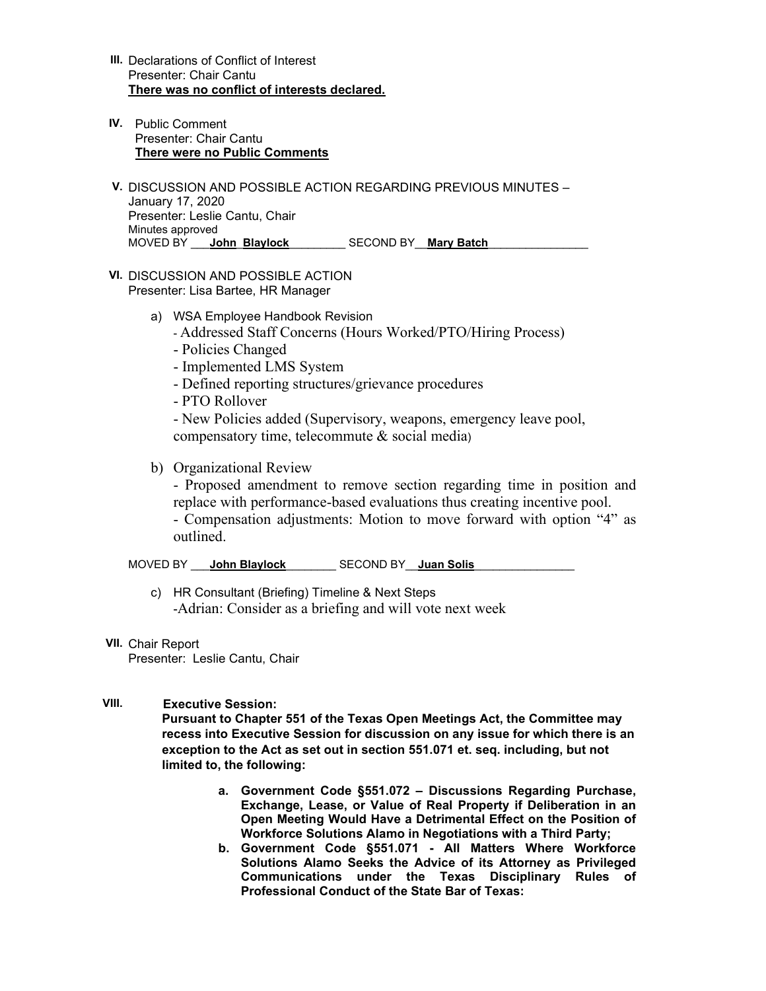- **III.** Declarations of Conflict of Interest Presenter: Chair Cantu **There was no conflict of interests declared.**
- **IV.** Public Comment Presenter: Chair Cantu **There were no Public Comments**
- **V.** DISCUSSION AND POSSIBLE ACTION REGARDING PREVIOUS MINUTES January 17, 2020 Presenter: Leslie Cantu, Chair Minutes approved MOVED BY \_\_\_**John**\_**Blaylock**\_\_\_\_\_\_\_\_\_ SECOND BY\_\_**Mary Batch**\_\_\_\_\_\_\_\_\_\_\_\_\_\_\_\_
- **VI.** DISCUSSION AND POSSIBLE ACTION Presenter: Lisa Bartee, HR Manager
	- a) WSA Employee Handbook Revision
		- Addressed Staff Concerns (Hours Worked/PTO/Hiring Process)
		- Policies Changed
		- Implemented LMS System
		- Defined reporting structures/grievance procedures
		- PTO Rollover

- New Policies added (Supervisory, weapons, emergency leave pool, compensatory time, telecommute & social media)

b) Organizational Review

- Proposed amendment to remove section regarding time in position and replace with performance-based evaluations thus creating incentive pool.

- Compensation adjustments: Motion to move forward with option "4" as outlined.

MOVED BY \_\_\_**John Blaylock**\_\_\_\_\_\_\_\_ SECOND BY\_\_**Juan Solis**\_\_\_\_\_\_\_\_\_\_\_\_\_\_\_\_

- c) HR Consultant (Briefing) Timeline & Next Steps -Adrian: Consider as a briefing and will vote next week
- **VII.** Chair Report

Presenter: Leslie Cantu, Chair

**VIII. Executive Session:** 

**Pursuant to Chapter 551 of the Texas Open Meetings Act, the Committee may recess into Executive Session for discussion on any issue for which there is an exception to the Act as set out in section 551.071 et. seq. including, but not limited to, the following:** 

- **a. Government Code §551.072 – Discussions Regarding Purchase, Exchange, Lease, or Value of Real Property if Deliberation in an Open Meeting Would Have a Detrimental Effect on the Position of Workforce Solutions Alamo in Negotiations with a Third Party;**
- **b. Government Code §551.071 - All Matters Where Workforce Solutions Alamo Seeks the Advice of its Attorney as Privileged Communications under the Texas Disciplinary Rules of Professional Conduct of the State Bar of Texas:**